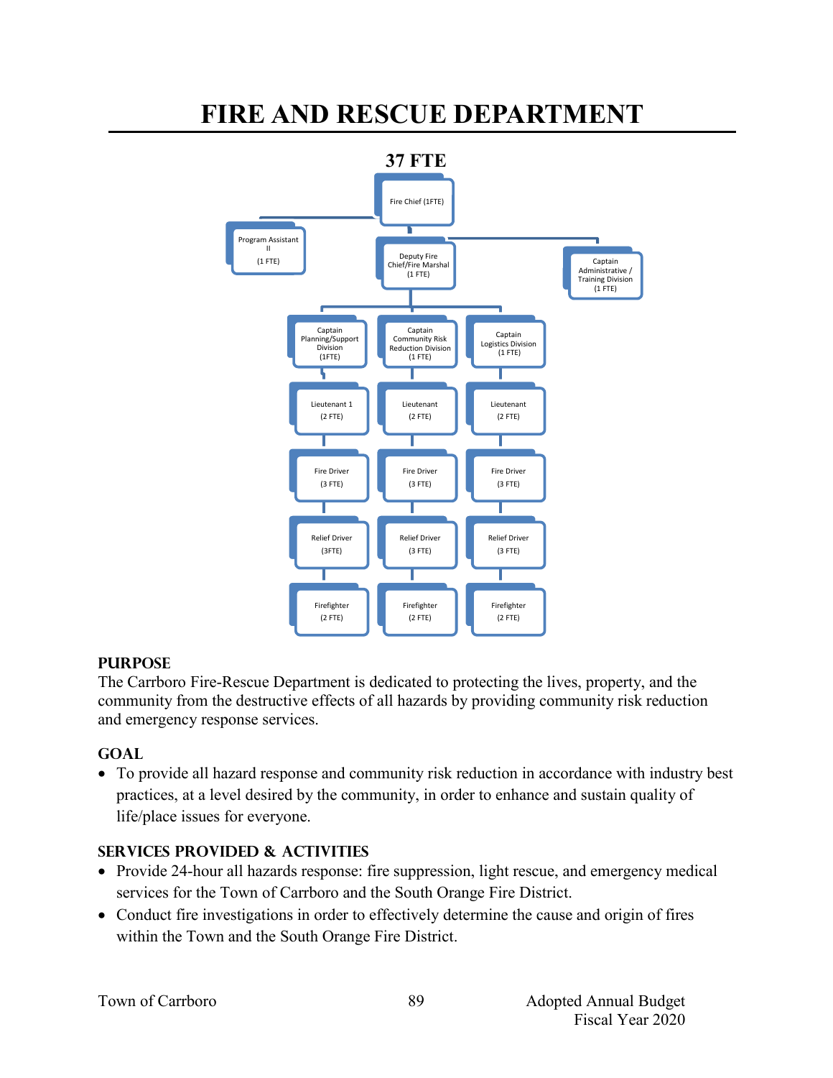

# **FIRE AND RESCUE DEPARTMENT**

### **PURPOSE**

The Carrboro Fire-Rescue Department is dedicated to protecting the lives, property, and the community from the destructive effects of all hazards by providing community risk reduction and emergency response services.

# **GOAL**

 To provide all hazard response and community risk reduction in accordance with industry best practices, at a level desired by the community, in order to enhance and sustain quality of life/place issues for everyone.

# **SERVICES PROVIDED & ACTIVITIES**

- Provide 24-hour all hazards response: fire suppression, light rescue, and emergency medical services for the Town of Carrboro and the South Orange Fire District.
- Conduct fire investigations in order to effectively determine the cause and origin of fires within the Town and the South Orange Fire District.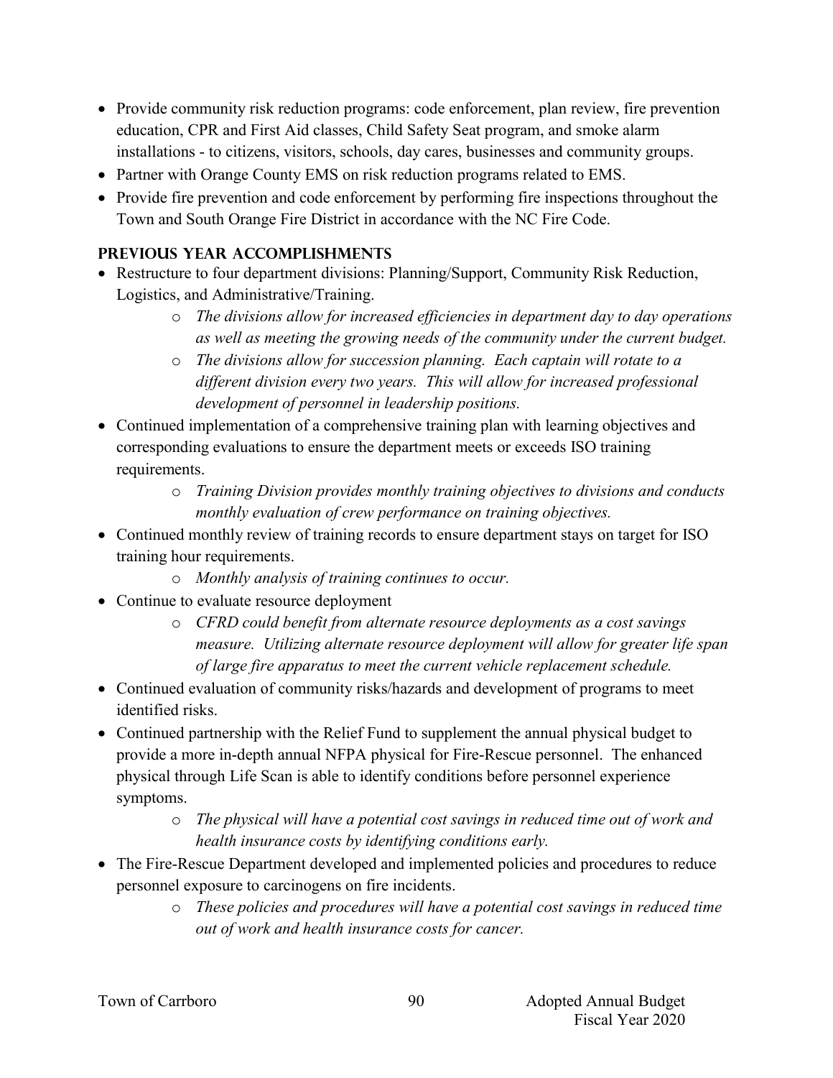- Provide community risk reduction programs: code enforcement, plan review, fire prevention education, CPR and First Aid classes, Child Safety Seat program, and smoke alarm installations - to citizens, visitors, schools, day cares, businesses and community groups.
- Partner with Orange County EMS on risk reduction programs related to EMS.
- Provide fire prevention and code enforcement by performing fire inspections throughout the Town and South Orange Fire District in accordance with the NC Fire Code.

### **PREVIOUS YEAR ACCOMPLISHMENTS**

- Restructure to four department divisions: Planning/Support, Community Risk Reduction, Logistics, and Administrative/Training.
	- o *The divisions allow for increased efficiencies in department day to day operations as well as meeting the growing needs of the community under the current budget.*
	- o *The divisions allow for succession planning. Each captain will rotate to a different division every two years. This will allow for increased professional development of personnel in leadership positions.*
- Continued implementation of a comprehensive training plan with learning objectives and corresponding evaluations to ensure the department meets or exceeds ISO training requirements.
	- o *Training Division provides monthly training objectives to divisions and conducts monthly evaluation of crew performance on training objectives.*
- Continued monthly review of training records to ensure department stays on target for ISO training hour requirements.
	- o *Monthly analysis of training continues to occur.*
- Continue to evaluate resource deployment
	- o *CFRD could benefit from alternate resource deployments as a cost savings measure. Utilizing alternate resource deployment will allow for greater life span of large fire apparatus to meet the current vehicle replacement schedule.*
- Continued evaluation of community risks/hazards and development of programs to meet identified risks.
- Continued partnership with the Relief Fund to supplement the annual physical budget to provide a more in-depth annual NFPA physical for Fire-Rescue personnel. The enhanced physical through Life Scan is able to identify conditions before personnel experience symptoms.
	- o *The physical will have a potential cost savings in reduced time out of work and health insurance costs by identifying conditions early.*
- The Fire-Rescue Department developed and implemented policies and procedures to reduce personnel exposure to carcinogens on fire incidents.
	- o *These policies and procedures will have a potential cost savings in reduced time out of work and health insurance costs for cancer.*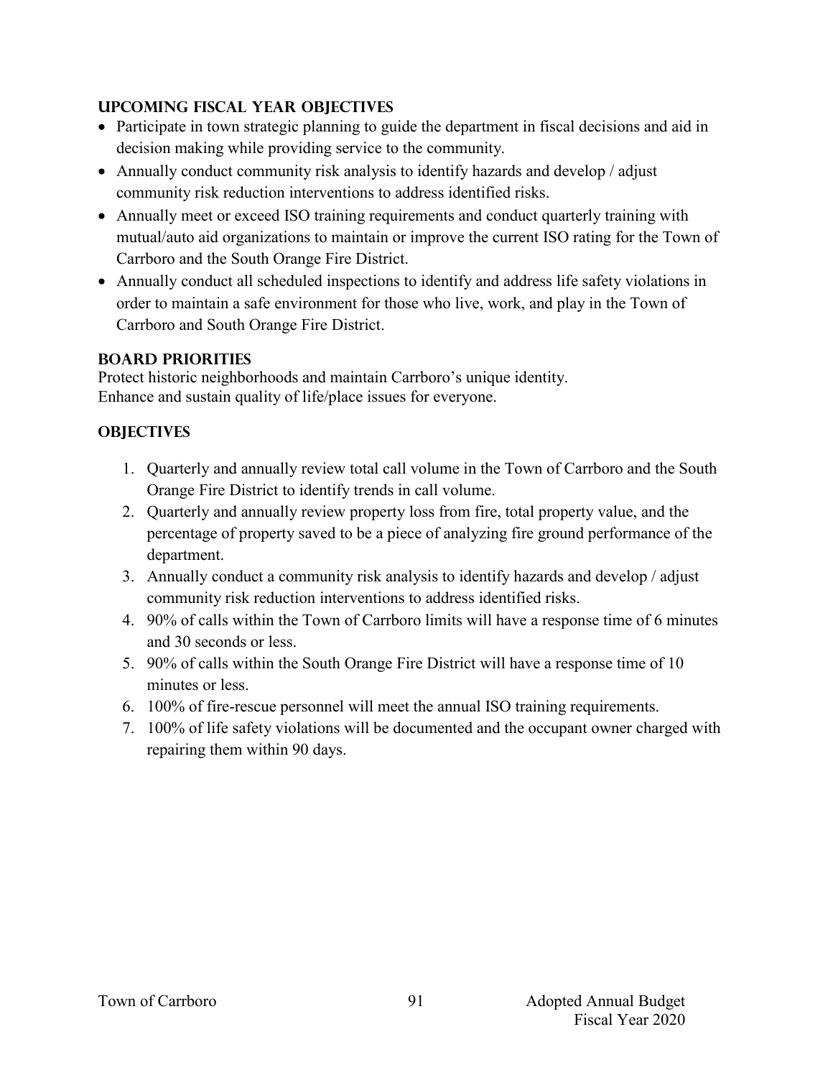### **UPCOMING FISCAL YEAR OBJECTIVES**

- Participate in town strategic planning to guide the department in fiscal decisions and aid in decision making while providing service to the community.
- Annually conduct community risk analysis to identify hazards and develop / adjust community risk reduction interventions to address identified risks.
- Annually meet or exceed ISO training requirements and conduct quarterly training with mutual/auto aid organizations to maintain or improve the current ISO rating for the Town of Carrboro and the South Orange Fire District.
- Annually conduct all scheduled inspections to identify and address life safety violations in order to maintain a safe environment for those who live, work, and play in the Town of Carrboro and South Orange Fire District.

# **BOARD PRIORITIES**

Protect historic neighborhoods and maintain Carrboro's unique identity. Enhance and sustain quality of life/place issues for everyone.

# **OBJECTIVES**

- 1. Quarterly and annually review total call volume in the Town of Carrboro and the South Orange Fire District to identify trends in call volume.
- 2. Quarterly and annually review property loss from fire, total property value, and the percentage of property saved to be a piece of analyzing fire ground performance of the department.
- 3. Annually conduct a community risk analysis to identify hazards and develop / adjust community risk reduction interventions to address identified risks.
- 4. 90% of calls within the Town of Carrboro limits will have a response time of 6 minutes and 30 seconds or less.
- 5. 90% of calls within the South Orange Fire District will have a response time of 10 minutes or less.
- 6. 100% of fire-rescue personnel will meet the annual ISO training requirements.
- 7. 100% of life safety violations will be documented and the occupant owner charged with repairing them within 90 days.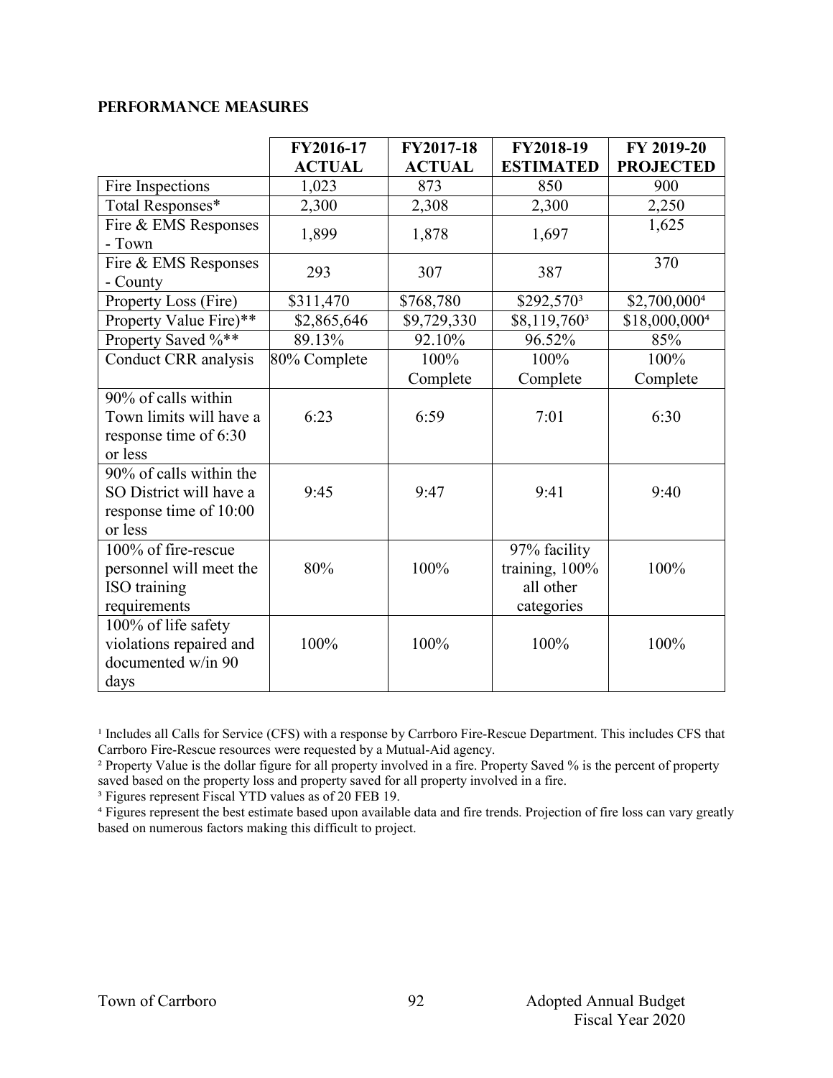### **Performance Measures**

|                         | FY2016-17     | FY2017-18     | FY2018-19                | FY 2019-20       |
|-------------------------|---------------|---------------|--------------------------|------------------|
|                         | <b>ACTUAL</b> | <b>ACTUAL</b> | <b>ESTIMATED</b>         | <b>PROJECTED</b> |
| Fire Inspections        | 1,023         | 873           | 850                      | 900              |
| Total Responses*        | 2,300         | 2,308         | 2,300                    | 2,250            |
| Fire & EMS Responses    | 1,899         | 1,878         | 1,697                    | 1,625            |
| - Town                  |               |               |                          |                  |
| Fire & EMS Responses    | 293           | 307           | 387                      | 370              |
| - County                |               |               |                          |                  |
| Property Loss (Fire)    | \$311,470     | \$768,780     | \$292,570 <sup>3</sup>   | \$2,700,0004     |
| Property Value Fire)**  | \$2,865,646   | \$9,729,330   | \$8,119,760 <sup>3</sup> | \$18,000,0004    |
| Property Saved %**      | 89.13%        | 92.10%        | 96.52%                   | 85%              |
| Conduct CRR analysis    | 80% Complete  | 100%          | 100%                     | 100%             |
|                         |               | Complete      | Complete                 | Complete         |
| 90% of calls within     |               |               |                          |                  |
| Town limits will have a | 6:23          | 6:59          | 7:01                     | 6:30             |
| response time of 6:30   |               |               |                          |                  |
| or less                 |               |               |                          |                  |
| 90% of calls within the |               |               |                          |                  |
| SO District will have a | 9:45          | 9:47          | 9:41                     | 9:40             |
| response time of 10:00  |               |               |                          |                  |
| or less                 |               |               |                          |                  |
| 100% of fire-rescue     |               |               | 97% facility             |                  |
| personnel will meet the | 80%           | 100%          | training, 100%           | 100%             |
| ISO training            |               |               | all other                |                  |
| requirements            |               |               | categories               |                  |
| 100% of life safety     |               |               |                          |                  |
| violations repaired and | 100%          | 100%          | 100%                     | 100%             |
| documented w/in 90      |               |               |                          |                  |
| days                    |               |               |                          |                  |

<sup>1</sup> Includes all Calls for Service (CFS) with a response by Carrboro Fire-Rescue Department. This includes CFS that Carrboro Fire-Rescue resources were requested by a Mutual-Aid agency.

<sup>2</sup> Property Value is the dollar figure for all property involved in a fire. Property Saved % is the percent of property saved based on the property loss and property saved for all property involved in a fire.

³ Figures represent Fiscal YTD values as of 20 FEB 19.

<sup>4</sup> Figures represent the best estimate based upon available data and fire trends. Projection of fire loss can vary greatly based on numerous factors making this difficult to project.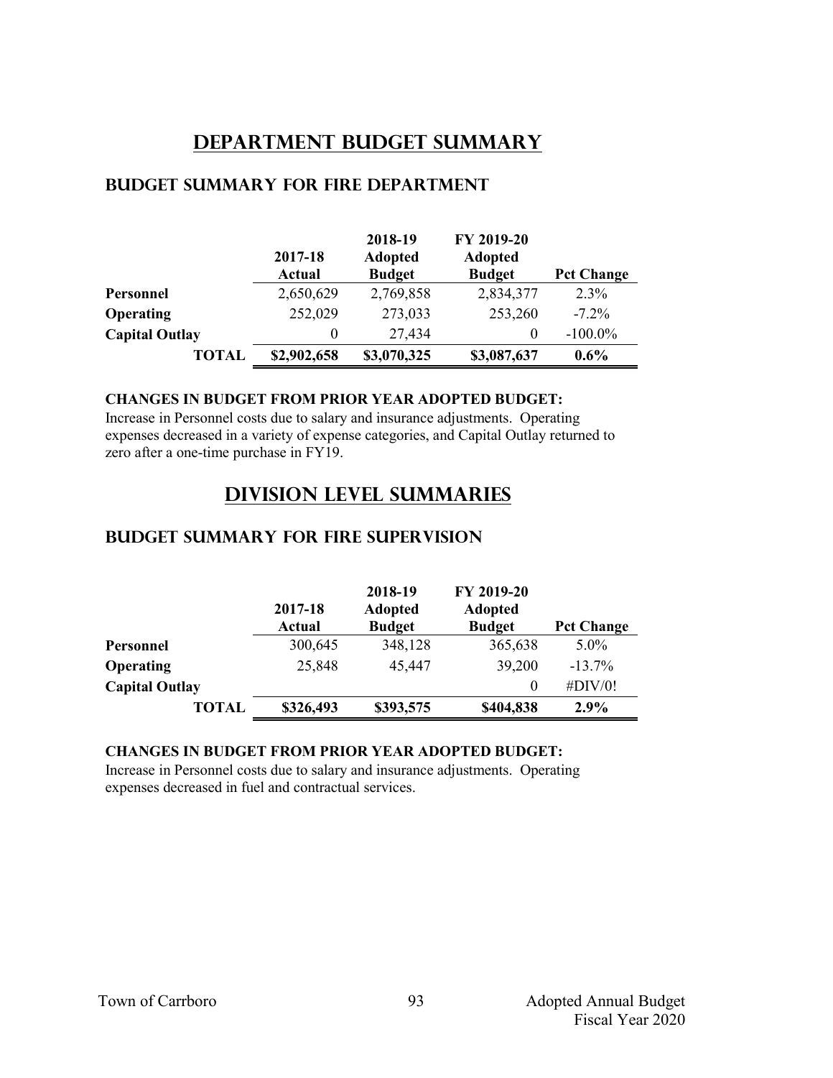# **Department Budget Summary**

|                       | 2017-18<br>Actual | 2018-19<br><b>Adopted</b><br><b>Budget</b> | FY 2019-20<br><b>Adopted</b><br><b>Budget</b> | <b>Pct Change</b> |
|-----------------------|-------------------|--------------------------------------------|-----------------------------------------------|-------------------|
| Personnel             | 2,650,629         | 2,769,858                                  | 2,834,377                                     | 2.3%              |
| <b>Operating</b>      | 252,029           | 273,033                                    | 253,260                                       | $-7.2\%$          |
| <b>Capital Outlay</b> | $\theta$          | 27,434                                     | $\theta$                                      | $-100.0\%$        |
| TOTAL                 | \$2,902,658       | \$3,070,325                                | \$3,087,637                                   | $0.6\%$           |

### **Budget summary for fire department**

### **CHANGES IN BUDGET FROM PRIOR YEAR ADOPTED BUDGET:**

Increase in Personnel costs due to salary and insurance adjustments. Operating expenses decreased in a variety of expense categories, and Capital Outlay returned to zero after a one-time purchase in FY19.

# **Division Level Summaries**

### **Budget summary for fire supervision**

|                       | 2017-18<br><b>Actual</b> | 2018-19<br><b>Adopted</b><br><b>Budget</b> | FY 2019-20<br><b>Adopted</b><br><b>Budget</b> | <b>Pct Change</b> |
|-----------------------|--------------------------|--------------------------------------------|-----------------------------------------------|-------------------|
| Personnel             | 300,645                  | 348,128                                    | 365,638                                       | $5.0\%$           |
| <b>Operating</b>      | 25,848                   | 45,447                                     | 39,200                                        | $-13.7\%$         |
| <b>Capital Outlay</b> |                          |                                            | $\theta$                                      | $\#$ DIV/0!       |
| <b>TOTAL</b>          | \$326,493                | \$393,575                                  | \$404,838                                     | 2.9%              |

#### **CHANGES IN BUDGET FROM PRIOR YEAR ADOPTED BUDGET:**

Increase in Personnel costs due to salary and insurance adjustments. Operating expenses decreased in fuel and contractual services.